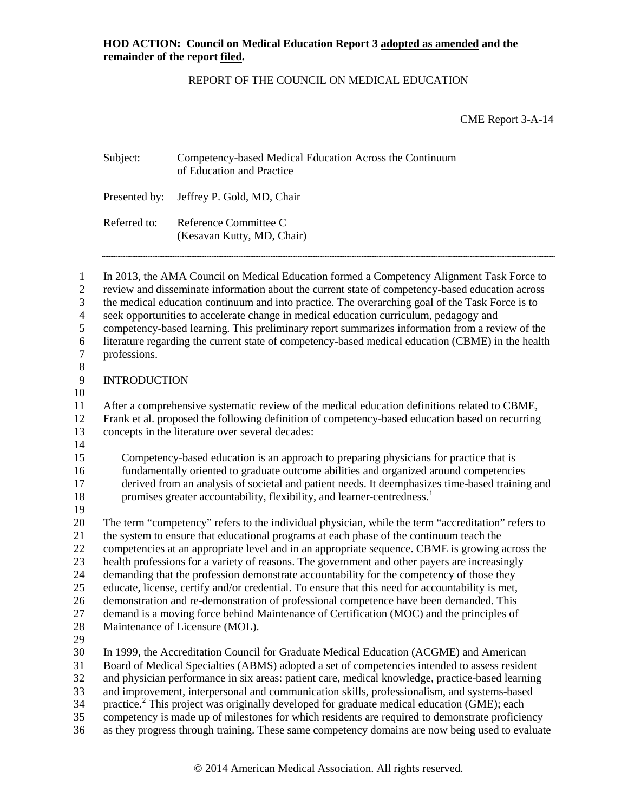### REPORT OF THE COUNCIL ON MEDICAL EDUCATION

CME Report 3-A-14

|                                                                                                      | Subject:                                                                                                                                                                                                                                                                                                                                                                                                                                                                                                                                                                                                                                                                                                                                                                                                                    | Competency-based Medical Education Across the Continuum<br>of Education and Practice                                                                                                                                                                                                                                                                                                                                                                                                                                                                                                                                                                                                                        |  |
|------------------------------------------------------------------------------------------------------|-----------------------------------------------------------------------------------------------------------------------------------------------------------------------------------------------------------------------------------------------------------------------------------------------------------------------------------------------------------------------------------------------------------------------------------------------------------------------------------------------------------------------------------------------------------------------------------------------------------------------------------------------------------------------------------------------------------------------------------------------------------------------------------------------------------------------------|-------------------------------------------------------------------------------------------------------------------------------------------------------------------------------------------------------------------------------------------------------------------------------------------------------------------------------------------------------------------------------------------------------------------------------------------------------------------------------------------------------------------------------------------------------------------------------------------------------------------------------------------------------------------------------------------------------------|--|
|                                                                                                      | Presented by:                                                                                                                                                                                                                                                                                                                                                                                                                                                                                                                                                                                                                                                                                                                                                                                                               | Jeffrey P. Gold, MD, Chair                                                                                                                                                                                                                                                                                                                                                                                                                                                                                                                                                                                                                                                                                  |  |
|                                                                                                      | Referred to:                                                                                                                                                                                                                                                                                                                                                                                                                                                                                                                                                                                                                                                                                                                                                                                                                | Reference Committee C<br>(Kesavan Kutty, MD, Chair)                                                                                                                                                                                                                                                                                                                                                                                                                                                                                                                                                                                                                                                         |  |
| $\mathbf{1}$<br>$\mathbf{2}$<br>3<br>$\overline{\mathcal{L}}$<br>5<br>6<br>$\overline{7}$<br>$\,8\,$ | In 2013, the AMA Council on Medical Education formed a Competency Alignment Task Force to<br>review and disseminate information about the current state of competency-based education across<br>the medical education continuum and into practice. The overarching goal of the Task Force is to<br>seek opportunities to accelerate change in medical education curriculum, pedagogy and<br>competency-based learning. This preliminary report summarizes information from a review of the<br>literature regarding the current state of competency-based medical education (CBME) in the health<br>professions.                                                                                                                                                                                                             |                                                                                                                                                                                                                                                                                                                                                                                                                                                                                                                                                                                                                                                                                                             |  |
| $\overline{9}$                                                                                       | <b>INTRODUCTION</b>                                                                                                                                                                                                                                                                                                                                                                                                                                                                                                                                                                                                                                                                                                                                                                                                         |                                                                                                                                                                                                                                                                                                                                                                                                                                                                                                                                                                                                                                                                                                             |  |
| 10<br>11<br>12<br>13<br>14                                                                           | After a comprehensive systematic review of the medical education definitions related to CBME,<br>Frank et al. proposed the following definition of competency-based education based on recurring<br>concepts in the literature over several decades:                                                                                                                                                                                                                                                                                                                                                                                                                                                                                                                                                                        |                                                                                                                                                                                                                                                                                                                                                                                                                                                                                                                                                                                                                                                                                                             |  |
| 15<br>16<br>17<br>18<br>19                                                                           |                                                                                                                                                                                                                                                                                                                                                                                                                                                                                                                                                                                                                                                                                                                                                                                                                             | Competency-based education is an approach to preparing physicians for practice that is<br>fundamentally oriented to graduate outcome abilities and organized around competencies<br>derived from an analysis of societal and patient needs. It deemphasizes time-based training and<br>promises greater accountability, flexibility, and learner-centredness. <sup>1</sup>                                                                                                                                                                                                                                                                                                                                  |  |
| 20<br>21<br>22<br>23<br>24<br>25<br>26<br>27<br>28<br>29                                             | The term "competency" refers to the individual physician, while the term "accreditation" refers to<br>the system to ensure that educational programs at each phase of the continuum teach the<br>competencies at an appropriate level and in an appropriate sequence. CBME is growing across the<br>health professions for a variety of reasons. The government and other payers are increasingly<br>demanding that the profession demonstrate accountability for the competency of those they<br>educate, license, certify and/or credential. To ensure that this need for accountability is met,<br>demonstration and re-demonstration of professional competence have been demanded. This<br>demand is a moving force behind Maintenance of Certification (MOC) and the principles of<br>Maintenance of Licensure (MOL). |                                                                                                                                                                                                                                                                                                                                                                                                                                                                                                                                                                                                                                                                                                             |  |
| 30<br>31<br>32<br>33<br>34<br>35<br>36                                                               |                                                                                                                                                                                                                                                                                                                                                                                                                                                                                                                                                                                                                                                                                                                                                                                                                             | In 1999, the Accreditation Council for Graduate Medical Education (ACGME) and American<br>Board of Medical Specialties (ABMS) adopted a set of competencies intended to assess resident<br>and physician performance in six areas: patient care, medical knowledge, practice-based learning<br>and improvement, interpersonal and communication skills, professionalism, and systems-based<br>practice. <sup>2</sup> This project was originally developed for graduate medical education (GME); each<br>competency is made up of milestones for which residents are required to demonstrate proficiency<br>as they progress through training. These same competency domains are now being used to evaluate |  |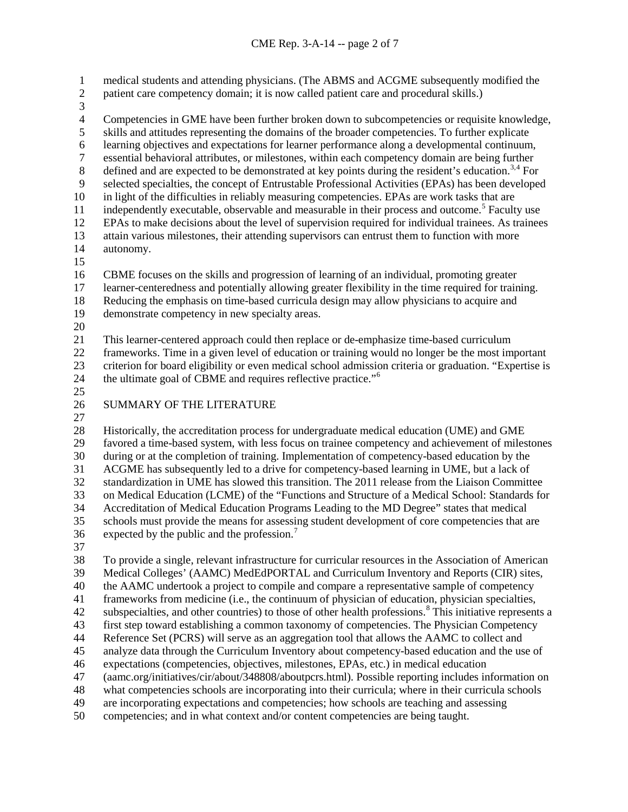medical students and attending physicians. (The ABMS and ACGME subsequently modified the

- 2 patient care competency domain; it is now called patient care and procedural skills.)
- 

3<br>4 4 Competencies in GME have been further broken down to subcompetencies or requisite knowledge, skills and attitudes representing the domains of the broader competencies. To further explicate skills and attitudes representing the domains of the broader competencies. To further explicate learning objectives and expectations for learner performance along a developmental continuum, 7 essential behavioral attributes, or milestones, within each competency domain are being further<br>8 defined and are expected to be demonstrated at key points during the resident's education.<sup>3,4</sup> For defined and are expected to be demonstrated at key points during the resident's education.<sup>[3](#page-6-0),[4](#page-6-1)</sup> For selected specialties, the concept of Entrustable Professional Activities (EPAs) has been developed in light of the difficulties in reliably measuring competencies. EPAs are work tasks that are  $\frac{11}{11}$  independently executable, observable and measurable in their process and outcome.<sup>[5](#page-6-2)</sup> Faculty use EPAs to make decisions about the level of supervision required for individual trainees. As trainees 13 attain various milestones, their attending supervisors can entrust them to function with more autonomy. autonomy. CBME focuses on the skills and progression of learning of an individual, promoting greater learner-centeredness and potentially allowing greater flexibility in the time required for training. Reducing the emphasis on time-based curricula design may allow physicians to acquire and demonstrate competency in new specialty areas. This learner-centered approach could then replace or de-emphasize time-based curriculum frameworks. Time in a given level of education or training would no longer be the most important criterion for board eligibility or even medical school admission criteria or graduation. "Expertise is

24 the ultimate goal of CBME and requires reflective practice."<sup>[6](#page-6-3)</sup>

### SUMMARY OF THE LITERATURE

28 Historically, the accreditation process for undergraduate medical education (UME) and GME<br>29 favored a time-based system, with less focus on trainee competency and achievement of miles favored a time-based system, with less focus on trainee competency and achievement of milestones during or at the completion of training. Implementation of competency-based education by the ACGME has subsequently led to a drive for competency-based learning in UME, but a lack of standardization in UME has slowed this transition. The 2011 release from the Liaison Committee on Medical Education (LCME) of the "Functions and Structure of a Medical School: Standards for Accreditation of Medical Education Programs Leading to the MD Degree" states that medical schools must provide the means for assessing student development of core competencies that are 36 expected by the public and the profession.<sup>[7](#page-6-4)</sup>

 To provide a single, relevant infrastructure for curricular resources in the Association of American Medical Colleges' (AAMC) MedEdPORTAL and Curriculum Inventory and Reports (CIR) sites, the AAMC undertook a project to compile and compare a representative sample of competency frameworks from medicine (i.e., the continuum of physician of education, physician specialties, 42 subspecialties, and other countries) to those of other health professions.<sup>[8](#page-6-5)</sup> This initiative represents a first step toward establishing a common taxonomy of competencies. The Physician Competency Reference Set (PCRS) will serve as an aggregation tool that allows the AAMC to collect and analyze data through the Curriculum Inventory about competency-based education and the use of expectations (competencies, objectives, milestones, EPAs, etc.) in medical education (aamc.org/initiatives/cir/about/348808/aboutpcrs.html). Possible reporting includes information on what competencies schools are incorporating into their curricula; where in their curricula schools are incorporating expectations and competencies; how schools are teaching and assessing competencies; and in what context and/or content competencies are being taught.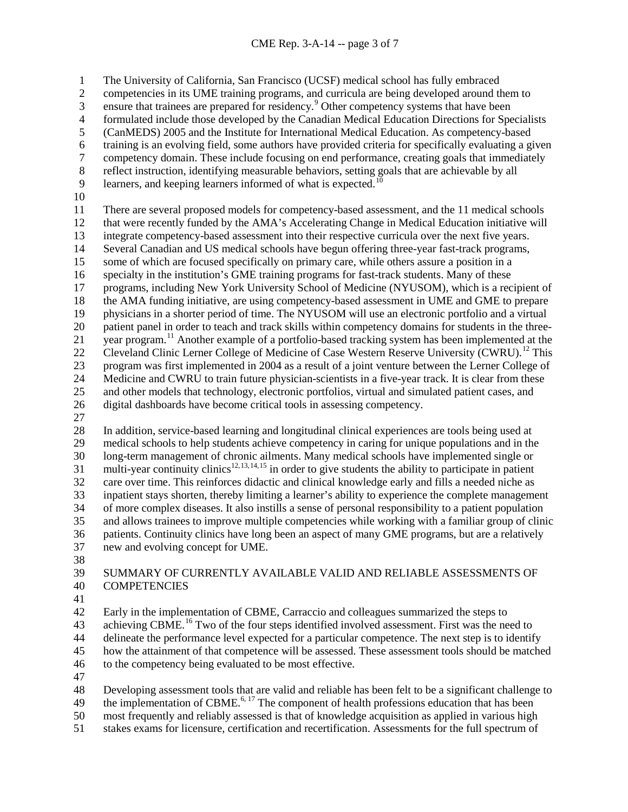The University of California, San Francisco (UCSF) medical school has fully embraced competencies in its UME training programs, and curricula are being developed around them to 3 ensure that trainees are prepared for residency.<sup>[9](#page-6-6)</sup> Other competency systems that have been 4 formulated include those developed by the Canadian Medical Education Directions for Specialists<br>5 (CanMEDS) 2005 and the Institute for International Medical Education. As competency-based (CanMEDS) 2005 and the Institute for International Medical Education. As competency-based training is an evolving field, some authors have provided criteria for specifically evaluating a given 7 competency domain. These include focusing on end performance, creating goals that immediately<br>8 reflect instruction, identifying measurable behaviors, setting goals that are achievable by all reflect instruction, identifying measurable behaviors, setting goals that are achievable by all

- 9 learners, and keeping learners informed of what is expected.<sup>[10](#page-6-7)</sup>
- 

 There are several proposed models for competency-based assessment, and the 11 medical schools that were recently funded by the AMA's Accelerating Change in Medical Education initiative will 13 integrate competency-based assessment into their respective curricula over the next five years.<br>14 Several Canadian and US medical schools have begun offering three-year fast-track programs, Several Canadian and US medical schools have begun offering three-year fast-track programs, some of which are focused specifically on primary care, while others assure a position in a specialty in the institution's GME training programs for fast-track students. Many of these programs, including New York University School of Medicine (NYUSOM), which is a recipient of the AMA funding initiative, are using competency-based assessment in UME and GME to prepare physicians in a shorter period of time. The NYUSOM will use an electronic portfolio and a virtual patient panel in order to teach and track skills within competency domains for students in the three-21 year program.<sup>[11](#page-6-8)</sup> Another example of a portfolio-based tracking system has been implemented at the 22 Cleveland Clinic Lerner College of Medicine of Case Western Reserve University (CWRU).<sup>[12](#page-6-9)</sup> This program was first implemented in 2004 as a result of a joint venture between the Lerner College of Medicine and CWRU to train future physician-scientists in a five-year track. It is clear from these and other models that technology, electronic portfolios, virtual and simulated patient cases, and digital dashboards have become critical tools in assessing competency.

28 In addition, service-based learning and longitudinal clinical experiences are tools being used at medical schools to help students achieve competency in caring for unique populations and in the medical schools to help students achieve competency in caring for unique populations and in the long-term management of chronic ailments. Many medical schools have implemented single or  $\frac{32}{31}$  multi-year continuity clinics<sup>12,[13,](#page-6-10)[14,](#page-6-11)[15](#page-6-12)</sup> in order to give students the ability to participate in patient care over time. This reinforces didactic and clinical knowledge early and fills a needed niche as inpatient stays shorten, thereby limiting a learner's ability to experience the complete management of more complex diseases. It also instills a sense of personal responsibility to a patient population and allows trainees to improve multiple competencies while working with a familiar group of clinic patients. Continuity clinics have long been an aspect of many GME programs, but are a relatively new and evolving concept for UME.

### SUMMARY OF CURRENTLY AVAILABLE VALID AND RELIABLE ASSESSMENTS OF COMPETENCIES

 Early in the implementation of CBME, Carraccio and colleagues summarized the steps to 43 achieving CBME.<sup>[16](#page-6-13)</sup> Two of the four steps identified involved assessment. First was the need to delineate the performance level expected for a particular competence. The next step is to identify how the attainment of that competence will be assessed. These assessment tools should be matched to the competency being evaluated to be most effective.

Developing assessment tools that are valid and reliable has been felt to be a significant challenge to

49 the implementation of CBME.<sup>6, 17</sup> The component of health professions education that has been most frequently and reliably assessed is that of knowledge acquisition as applied in various high

stakes exams for licensure, certification and recertification. Assessments for the full spectrum of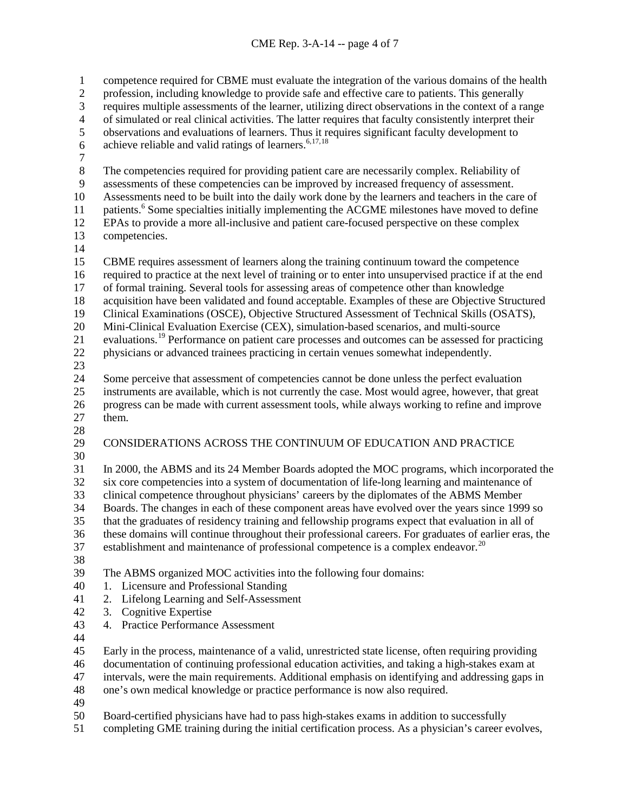competence required for CBME must evaluate the integration of the various domains of the health profession, including knowledge to provide safe and effective care to patients. This generally 3 requires multiple assessments of the learner, utilizing direct observations in the context of a range<br>4 of simulated or real clinical activities. The latter requires that faculty consistently interpret their 4 of simulated or real clinical activities. The latter requires that faculty consistently interpret their<br>5 observations and evaluations of learners. Thus it requires significant faculty development to observations and evaluations of learners. Thus it requires significant faculty development to 6 achieve reliable and valid ratings of learners. $6,17,18$  $6,17,18$  $6,17,18$  $6,17,18$  $\frac{7}{8}$ The competencies required for providing patient care are necessarily complex. Reliability of assessments of these competencies can be improved by increased frequency of assessment. Assessments need to be built into the daily work done by the learners and teachers in the care of 11 patients.<sup>6</sup> Some specialties initially implementing the ACGME milestones have moved to define EPAs to provide a more all-inclusive and patient care-focused perspective on these complex competencies. CBME requires assessment of learners along the training continuum toward the competence required to practice at the next level of training or to enter into unsupervised practice if at the end of formal training. Several tools for assessing areas of competence other than knowledge acquisition have been validated and found acceptable. Examples of these are Objective Structured Clinical Examinations (OSCE), Objective Structured Assessment of Technical Skills (OSATS), Mini-Clinical Evaluation Exercise (CEX), simulation-based scenarios, and multi-source 21 evaluations.<sup>[19](#page-6-16)</sup> Performance on patient care processes and outcomes can be assessed for practicing physicians or advanced trainees practicing in certain venues somewhat independently. Some perceive that assessment of competencies cannot be done unless the perfect evaluation instruments are available, which is not currently the case. Most would agree, however, that great progress can be made with current assessment tools, while always working to refine and improve them.  $rac{28}{29}$  CONSIDERATIONS ACROSS THE CONTINUUM OF EDUCATION AND PRACTICE In 2000, the ABMS and its 24 Member Boards adopted the MOC programs, which incorporated the six core competencies into a system of documentation of life-long learning and maintenance of clinical competence throughout physicians' careers by the diplomates of the ABMS Member Boards. The changes in each of these component areas have evolved over the years since 1999 so that the graduates of residency training and fellowship programs expect that evaluation in all of these domains will continue throughout their professional careers. For graduates of earlier eras, the 37 establishment and maintenance of professional competence is a complex endeavor.<sup>[20](#page-6-17)</sup> The ABMS organized MOC activities into the following four domains: 1. Licensure and Professional Standing 2. Lifelong Learning and Self-Assessment 3. Cognitive Expertise 4. Practice Performance Assessment Early in the process, maintenance of a valid, unrestricted state license, often requiring providing documentation of continuing professional education activities, and taking a high-stakes exam at intervals, were the main requirements. Additional emphasis on identifying and addressing gaps in one's own medical knowledge or practice performance is now also required. Board-certified physicians have had to pass high-stakes exams in addition to successfully

completing GME training during the initial certification process. As a physician's career evolves,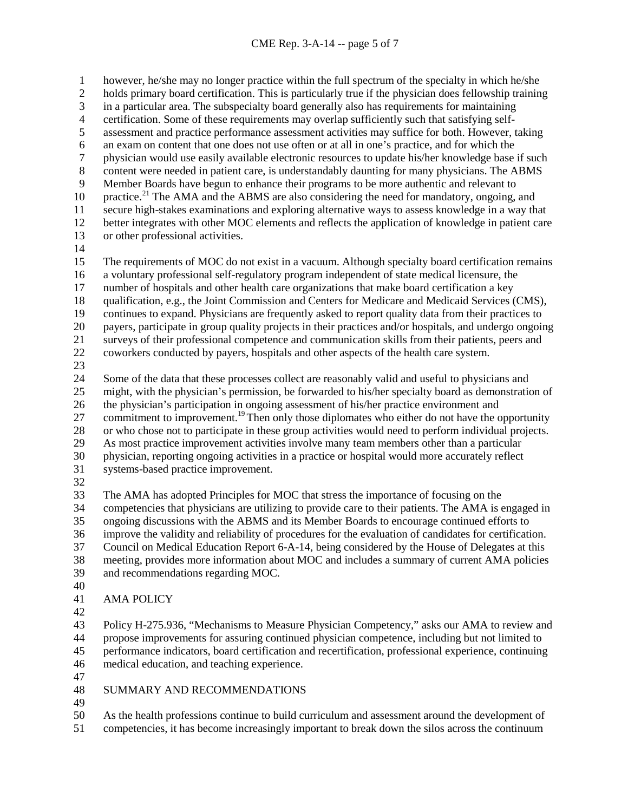however, he/she may no longer practice within the full spectrum of the specialty in which he/she holds primary board certification. This is particularly true if the physician does fellowship training 3 in a particular area. The subspecialty board generally also has requirements for maintaining<br>4 certification. Some of these requirements may overlap sufficiently such that satisfying self-4 certification. Some of these requirements may overlap sufficiently such that satisfying self-<br>5 assessment and practice performance assessment activities may suffice for both. However, t assessment and practice performance assessment activities may suffice for both. However, taking 6 an exam on content that one does not use often or at all in one's practice, and for which the physician would use easily available electronic resources to update his/her knowledge base 7 physician would use easily available electronic resources to update his/her knowledge base if such<br>8 content were needed in patient care, is understandably daunting for many physicians. The ABMS content were needed in patient care, is understandably daunting for many physicians. The ABMS Member Boards have begun to enhance their programs to be more authentic and relevant to  $\mu$  practice.<sup>[21](#page-6-18)</sup> The AMA and the ABMS are also considering the need for mandatory, ongoing, and secure high-stakes examinations and exploring alternative ways to assess knowledge in a way that better integrates with other MOC elements and reflects the application of knowledge in patient care or other professional activities. The requirements of MOC do not exist in a vacuum. Although specialty board certification remains a voluntary professional self-regulatory program independent of state medical licensure, the number of hospitals and other health care organizations that make board certification a key qualification, e.g., the Joint Commission and Centers for Medicare and Medicaid Services (CMS), continues to expand. Physicians are frequently asked to report quality data from their practices to payers, participate in group quality projects in their practices and/or hospitals, and undergo ongoing surveys of their professional competence and communication skills from their patients, peers and coworkers conducted by payers, hospitals and other aspects of the health care system. Some of the data that these processes collect are reasonably valid and useful to physicians and might, with the physician's permission, be forwarded to his/her specialty board as demonstration of the physician's participation in ongoing assessment of his/her practice environment and 27 commitment to improvement.<sup>19</sup> Then only those diplomates who either do not have the opportunity

- 28 or who chose not to participate in these group activities would need to perform individual projects.<br>29 As most practice improvement activities involve many team members other than a particular As most practice improvement activities involve many team members other than a particular
- physician, reporting ongoing activities in a practice or hospital would more accurately reflect systems-based practice improvement.
- 
- The AMA has adopted Principles for MOC that stress the importance of focusing on the competencies that physicians are utilizing to provide care to their patients. The AMA is engaged in ongoing discussions with the ABMS and its Member Boards to encourage continued efforts to improve the validity and reliability of procedures for the evaluation of candidates for certification. Council on Medical Education Report 6-A-14, being considered by the House of Delegates at this meeting, provides more information about MOC and includes a summary of current AMA policies and recommendations regarding MOC.
- 
- AMA POLICY
- 
- Policy H-275.936, "Mechanisms to Measure Physician Competency," asks our AMA to review and propose improvements for assuring continued physician competence, including but not limited to performance indicators, board certification and recertification, professional experience, continuing medical education, and teaching experience.
- 

# SUMMARY AND RECOMMENDATIONS

As the health professions continue to build curriculum and assessment around the development of

competencies, it has become increasingly important to break down the silos across the continuum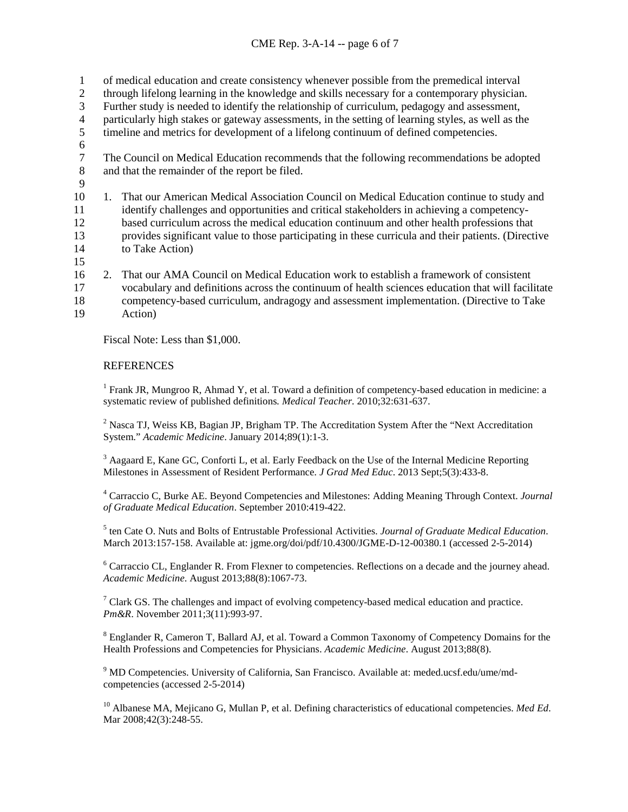### CME Rep. 3-A-14 -- page 6 of 7

- 1 of medical education and create consistency whenever possible from the premedical interval
- 2 through lifelong learning in the knowledge and skills necessary for a contemporary physician.
- 3 Further study is needed to identify the relationship of curriculum, pedagogy and assessment,
- 4 particularly high stakes or gateway assessments, in the setting of learning styles, as well as the timeline and metrics for development of a lifelong continuum of defined competencies.
- timeline and metrics for development of a lifelong continuum of defined competencies.
- 6<br>7
- The Council on Medical Education recommends that the following recommendations be adopted<br>and that the remainder of the report be filed. and that the remainder of the report be filed.
- 9
- 10 1. That our American Medical Association Council on Medical Education continue to study and 11 identify challenges and opportunities and critical stakeholders in achieving a competency-12 based curriculum across the medical education continuum and other health professions that 13 provides significant value to those participating in these curricula and their patients. (Directive to Take Action)
- 15
- 16 2. That our AMA Council on Medical Education work to establish a framework of consistent 17 vocabulary and definitions across the continuum of health sciences education that will facilitate 18 competency-based curriculum, andragogy and assessment implementation. (Directive to Take
- <span id="page-5-0"></span>19 Action)

Fiscal Note: Less than \$1,000.

## **REFERENCES**

<sup>1</sup> Frank JR, Mungroo R, Ahmad Y, et al. Toward a definition of competency-based education in medicine: a systematic review of published definitions*. Medical Teacher*. 2010;32:631-637.

<span id="page-5-1"></span><sup>2</sup> Nasca TJ, Weiss KB, Bagian JP, Brigham TP. The Accreditation System After the "Next Accreditation" System." *Academic Medicine*. January 2014;89(1):1-3.

<sup>3</sup> Aagaard E, Kane GC, Conforti L, et al. Early Feedback on the Use of the Internal Medicine Reporting Milestones in Assessment of Resident Performance. *J Grad Med Educ*. 2013 Sept;5(3):433-8.

<sup>4</sup> Carraccio C, Burke AE. Beyond Competencies and Milestones: Adding Meaning Through Context. *Journal of Graduate Medical Education*. September 2010:419-422.

<sup>5</sup> ten Cate O. Nuts and Bolts of Entrustable Professional Activities. *Journal of Graduate Medical Education*. March 2013:157-158. Available at: jgme.org/doi/pdf/10.4300/JGME-D-12-00380.1 (accessed 2-5-2014)

 $6$  Carraccio CL, Englander R. From Flexner to competencies. Reflections on a decade and the journey ahead. *Academic Medicine*. August 2013;88(8):1067-73.

 $\frac{7}{7}$  Clark GS. The challenges and impact of evolving competency-based medical education and practice. *Pm&R*. November 2011;3(11):993-97.

<sup>8</sup> Englander R, Cameron T, Ballard AJ, et al. Toward a Common Taxonomy of Competency Domains for the Health Professions and Competencies for Physicians. *Academic Medicine*. August 2013;88(8).

<sup>9</sup> MD Competencies. University of California, San Francisco. Available at: meded.ucsf.edu/ume/mdcompetencies (accessed 2-5-2014)

<sup>10</sup> Albanese MA, Mejicano G, Mullan P, et al. Defining characteristics of educational competencies. *Med Ed*. Mar 2008;42(3):248-55.